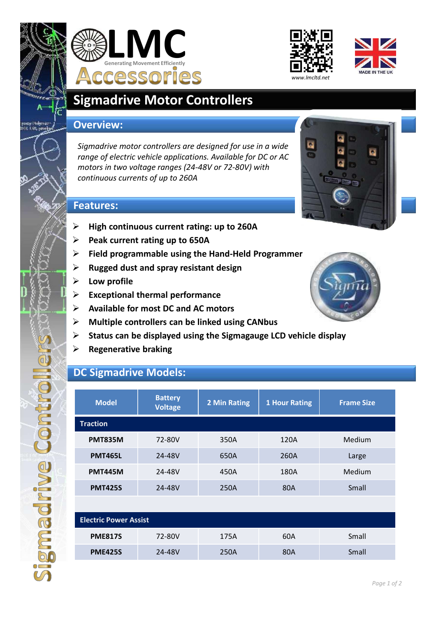

magiqhwe Comtrol







# **Sigmadrive Motor Controllers**

#### **Overview:**

*Sigmadrive motor controllers are designed for use in a wide range of electric vehicle applications. Available for DC or AC motors in two voltage ranges (24-48V or 72-80V) with continuous currents of up to 260A*



#### **Features:**

- **High continuous current rating: up to 260A**
- **Peak current rating up to 650A**
- **Field programmable using the Hand-Held Programmer**
- **Rugged dust and spray resistant design**
- **Low profile**
- **Exceptional thermal performance**
- **Available for most DC and AC motors**
- **Multiple controllers can be linked using CANbus**
- **Status can be displayed using the Sigmagauge LCD vehicle display**
- **Regenerative braking**

## **DC Sigmadrive Models:**

| <b>Model</b>                 | <b>Battery</b><br><b>Voltage</b> | 2 Min Rating | <b>1 Hour Rating</b> | <b>Frame Size</b> |  |  |
|------------------------------|----------------------------------|--------------|----------------------|-------------------|--|--|
| <b>Traction</b>              |                                  |              |                      |                   |  |  |
| <b>PMT835M</b>               | 72-80V                           | 350A         | 120A                 | Medium            |  |  |
| <b>PMT465L</b>               | 24-48V                           | 650A         | 260A                 | Large             |  |  |
| <b>PMT445M</b>               | 24-48V                           | 450A         | 180A                 | Medium            |  |  |
| <b>PMT425S</b>               | 24-48V                           | 250A         | 80A                  | Small             |  |  |
|                              |                                  |              |                      |                   |  |  |
| <b>Electric Power Assist</b> |                                  |              |                      |                   |  |  |
| <b>PME817S</b>               | 72-80V                           | 175A         | 60A                  | Small             |  |  |
| <b>PME425S</b>               | 24-48V                           | 250A         | 80A                  | Small             |  |  |